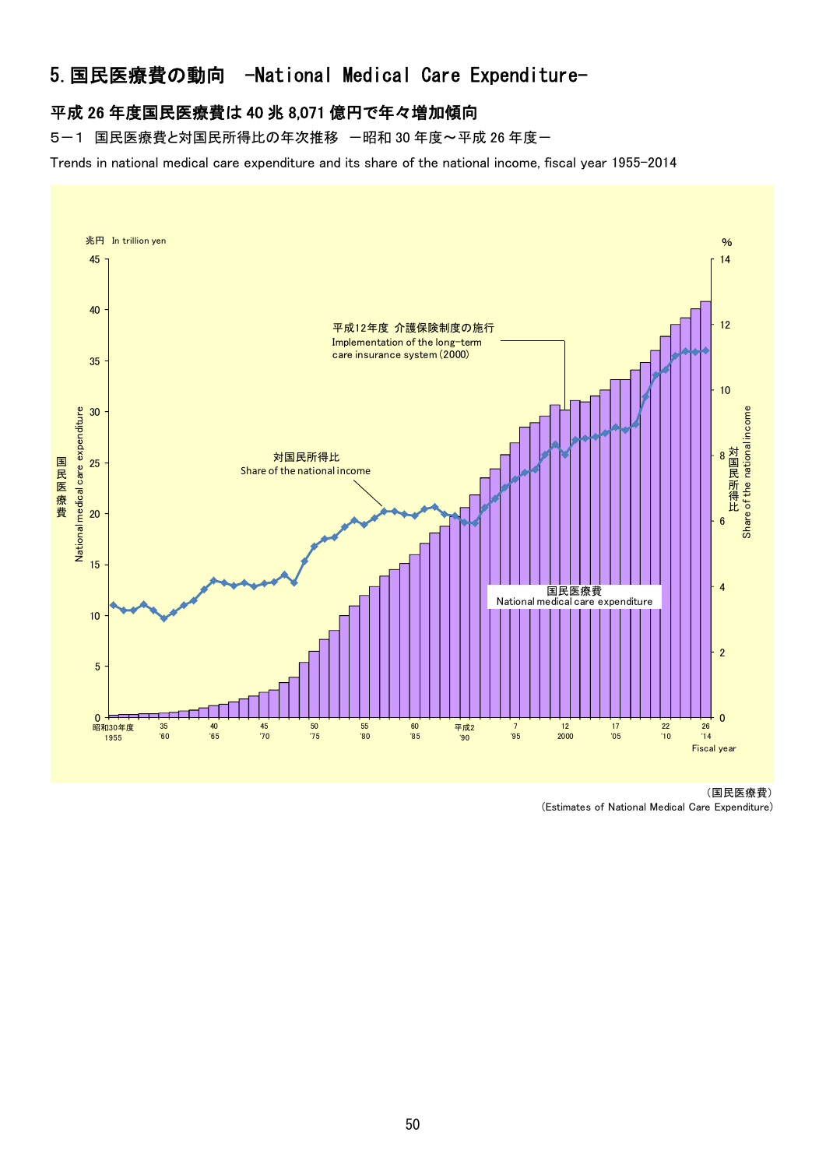# 5.国民医療費の動向 -National Medical Care Expenditure-

### 平成 26 年度国民医療費は 40 兆 8,071 億円で年々増加傾向

5-1 国民医療費と対国民所得比の年次推移 一昭和 30 年度~平成 26 年度-

Trends in national medical care expenditure and its share of the national income, fiscal year 1955-2014



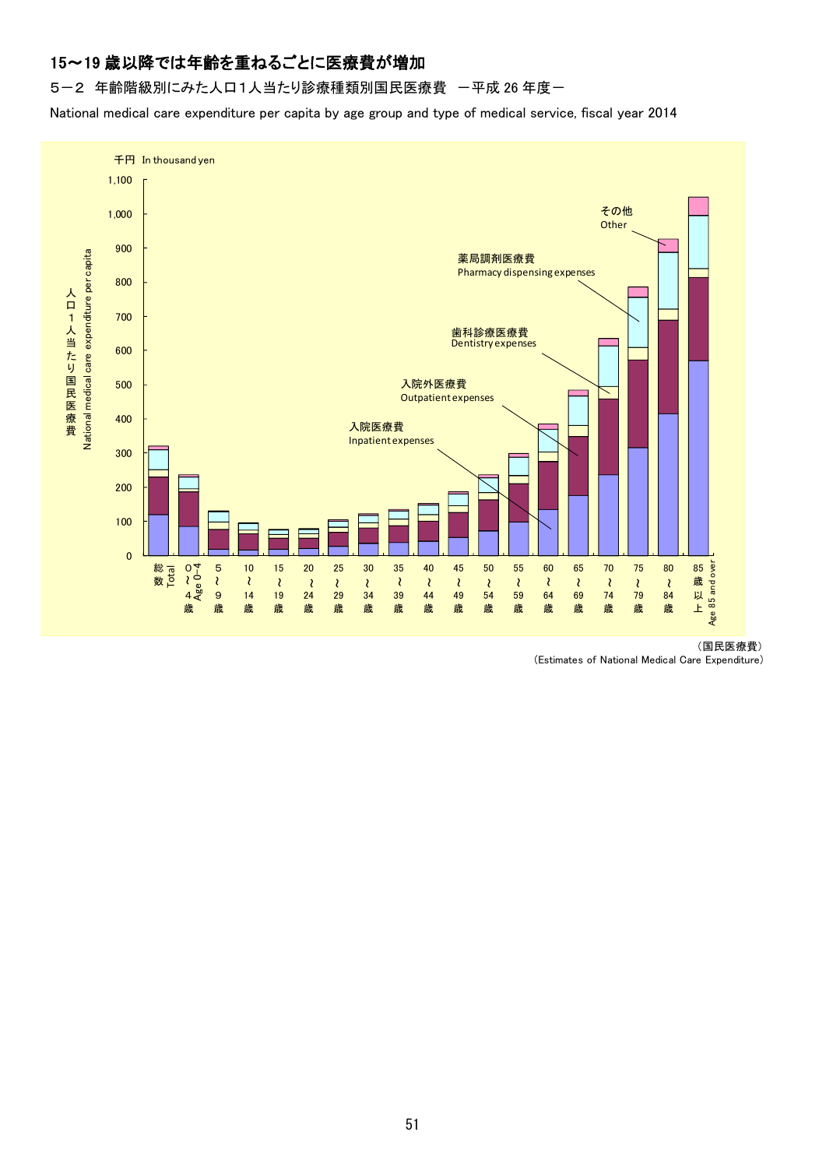## 15~19 歳以降では年齢を重ねるごとに医療費が増加

5-2 年齢階級別にみた人口1人当たり診療種類別国民医療費 一平成 26 年度一

National medical care expenditure per capita by age group and type of medical service, fiscal year 2014



(国民医療費)

(Estimates of National Medical Care Expenditure)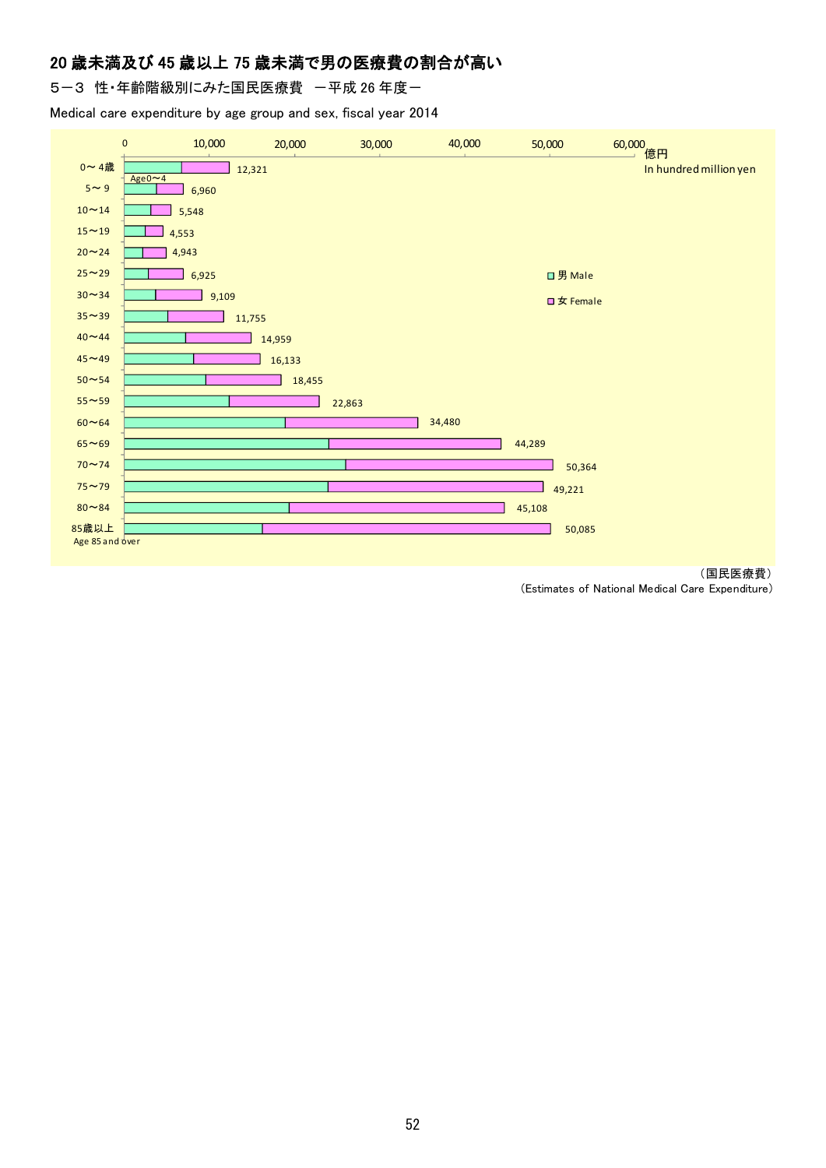### 20 歳未満及び 45 歳以上 75 歳未満で男の医療費の割合が高い

5-3 性·年齢階級別にみた国民医療費 一平成 26 年度一

Medical care expenditure by age group and sex, fiscal year 2014





(Estimates of National Medical Care Expenditure)